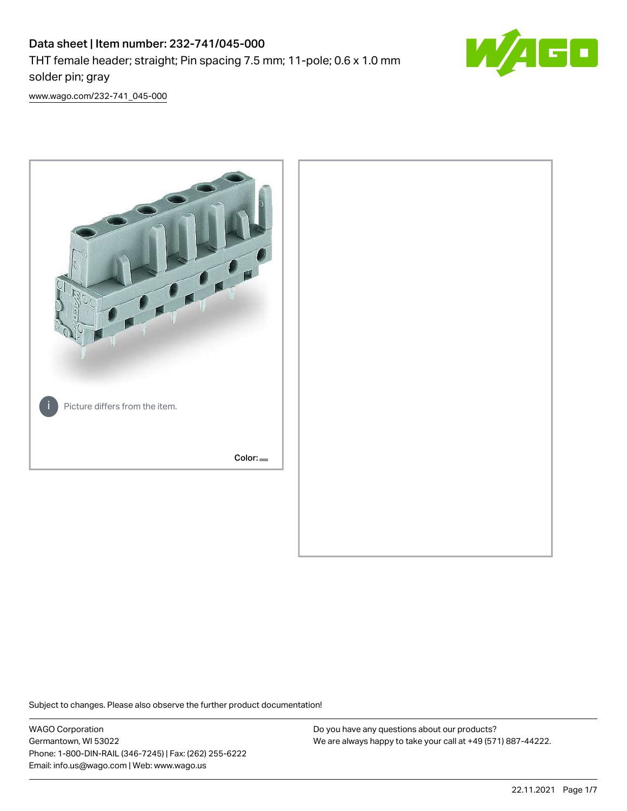

[www.wago.com/232-741\\_045-000](http://www.wago.com/232-741_045-000)



Subject to changes. Please also observe the further product documentation!

WAGO Corporation Germantown, WI 53022 Phone: 1-800-DIN-RAIL (346-7245) | Fax: (262) 255-6222 Email: info.us@wago.com | Web: www.wago.us

Do you have any questions about our products? We are always happy to take your call at +49 (571) 887-44222.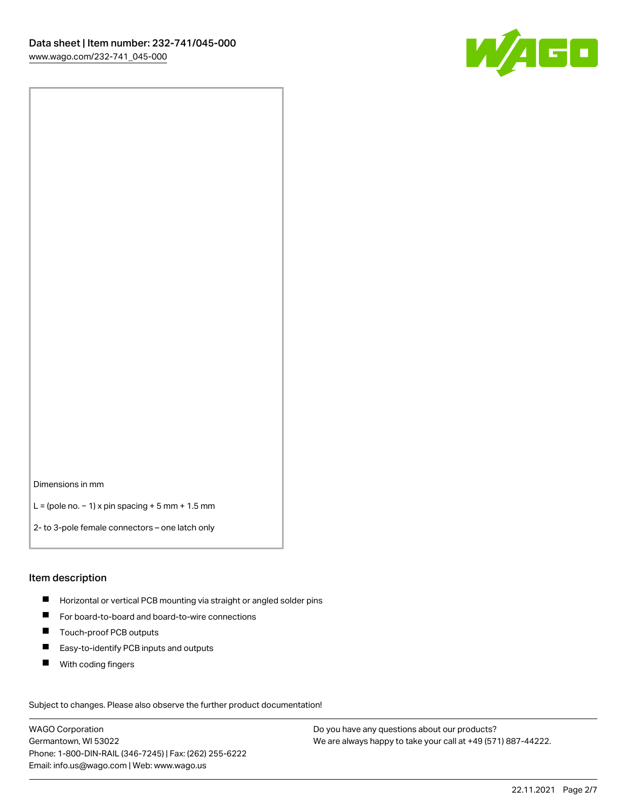

Dimensions in mm

L = (pole no. − 1) x pin spacing + 5 mm + 1.5 mm

2- to 3-pole female connectors – one latch only

#### Item description

- **H** Horizontal or vertical PCB mounting via straight or angled solder pins
- For board-to-board and board-to-wire connections
- Touch-proof PCB outputs  $\blacksquare$
- $\blacksquare$ Easy-to-identify PCB inputs and outputs
- $\blacksquare$ With coding fingers

Subject to changes. Please also observe the further product documentation! Data

WAGO Corporation Germantown, WI 53022 Phone: 1-800-DIN-RAIL (346-7245) | Fax: (262) 255-6222 Email: info.us@wago.com | Web: www.wago.us

Do you have any questions about our products? We are always happy to take your call at +49 (571) 887-44222.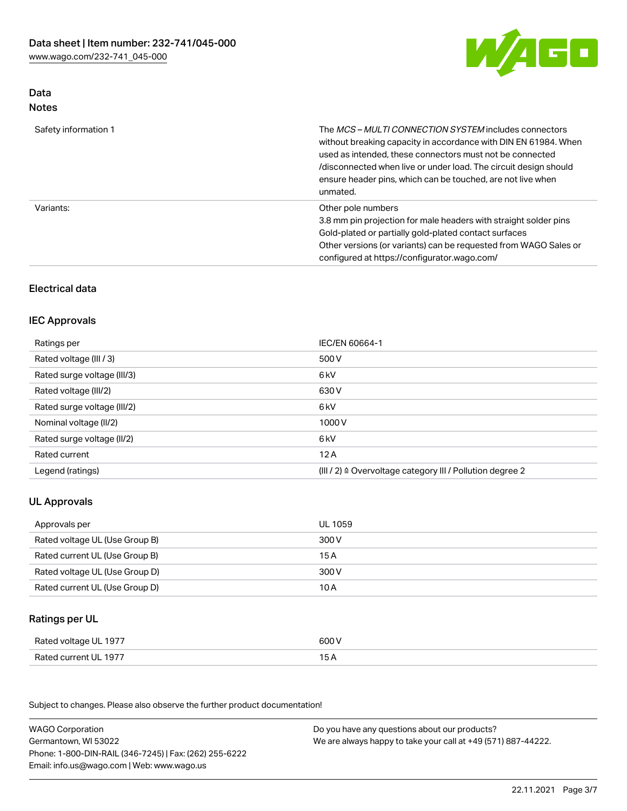

# Data Notes

| Safety information 1 | The MCS-MULTI CONNECTION SYSTEM includes connectors<br>without breaking capacity in accordance with DIN EN 61984. When<br>used as intended, these connectors must not be connected<br>/disconnected when live or under load. The circuit design should<br>ensure header pins, which can be touched, are not live when<br>unmated. |
|----------------------|-----------------------------------------------------------------------------------------------------------------------------------------------------------------------------------------------------------------------------------------------------------------------------------------------------------------------------------|
| Variants:            | Other pole numbers<br>3.8 mm pin projection for male headers with straight solder pins<br>Gold-plated or partially gold-plated contact surfaces<br>Other versions (or variants) can be requested from WAGO Sales or<br>configured at https://configurator.wago.com/                                                               |

# Electrical data

### IEC Approvals

| Ratings per                 | IEC/EN 60664-1                                                        |
|-----------------------------|-----------------------------------------------------------------------|
| Rated voltage (III / 3)     | 500 V                                                                 |
| Rated surge voltage (III/3) | 6 kV                                                                  |
| Rated voltage (III/2)       | 630 V                                                                 |
| Rated surge voltage (III/2) | 6 kV                                                                  |
| Nominal voltage (II/2)      | 1000 V                                                                |
| Rated surge voltage (II/2)  | 6 kV                                                                  |
| Rated current               | 12A                                                                   |
| Legend (ratings)            | $(III / 2)$ $\triangle$ Overvoltage category III / Pollution degree 2 |

# UL Approvals

| Approvals per                  | UL 1059 |
|--------------------------------|---------|
| Rated voltage UL (Use Group B) | 300 V   |
| Rated current UL (Use Group B) | 15 A    |
| Rated voltage UL (Use Group D) | 300 V   |
| Rated current UL (Use Group D) | 10 A    |

# Ratings per UL

| Rated voltage UL 1977 | 600 V |
|-----------------------|-------|
| Rated current UL 1977 |       |

Subject to changes. Please also observe the further product documentation!

| <b>WAGO Corporation</b>                                | Do you have any questions about our products?                 |
|--------------------------------------------------------|---------------------------------------------------------------|
| Germantown, WI 53022                                   | We are always happy to take your call at +49 (571) 887-44222. |
| Phone: 1-800-DIN-RAIL (346-7245)   Fax: (262) 255-6222 |                                                               |
| Email: info.us@wago.com   Web: www.wago.us             |                                                               |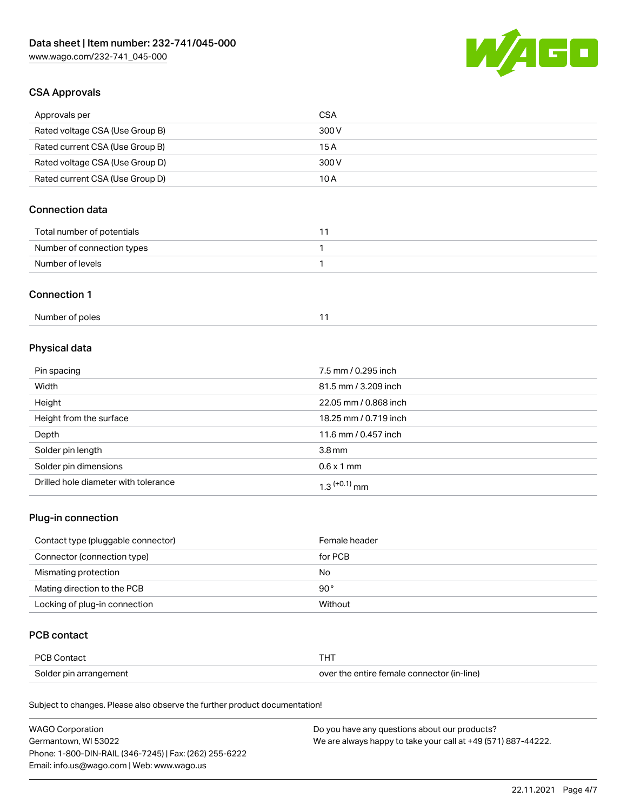

## CSA Approvals

| Approvals per                   | CSA   |
|---------------------------------|-------|
| Rated voltage CSA (Use Group B) | 300 V |
| Rated current CSA (Use Group B) | 15 A  |
| Rated voltage CSA (Use Group D) | 300 V |
| Rated current CSA (Use Group D) | 10 A  |

# Connection data

| Total number of potentials |  |
|----------------------------|--|
| Number of connection types |  |
| Number of levels           |  |

### Connection 1

# Physical data

| Pin spacing                          | 7.5 mm / 0.295 inch   |
|--------------------------------------|-----------------------|
| Width                                | 81.5 mm / 3.209 inch  |
| Height                               | 22.05 mm / 0.868 inch |
| Height from the surface              | 18.25 mm / 0.719 inch |
| Depth                                | 11.6 mm / 0.457 inch  |
| Solder pin length                    | 3.8 <sub>mm</sub>     |
| Solder pin dimensions                | $0.6 \times 1$ mm     |
| Drilled hole diameter with tolerance | $1.3$ $(+0.1)$ mm     |

# Plug-in connection

| Contact type (pluggable connector) | Female header |
|------------------------------------|---------------|
| Connector (connection type)        | for PCB       |
| Mismating protection               | No            |
| Mating direction to the PCB        | $90^{\circ}$  |
| Locking of plug-in connection      | Without       |

## PCB contact

| PCB Contact            | THT                                        |
|------------------------|--------------------------------------------|
| Solder pin arrangement | over the entire female connector (in-line) |

Subject to changes. Please also observe the further product documentation!

| <b>WAGO Corporation</b>                                | Do you have any questions about our products?                 |
|--------------------------------------------------------|---------------------------------------------------------------|
| Germantown, WI 53022                                   | We are always happy to take your call at +49 (571) 887-44222. |
| Phone: 1-800-DIN-RAIL (346-7245)   Fax: (262) 255-6222 |                                                               |
| Email: info.us@wago.com   Web: www.wago.us             |                                                               |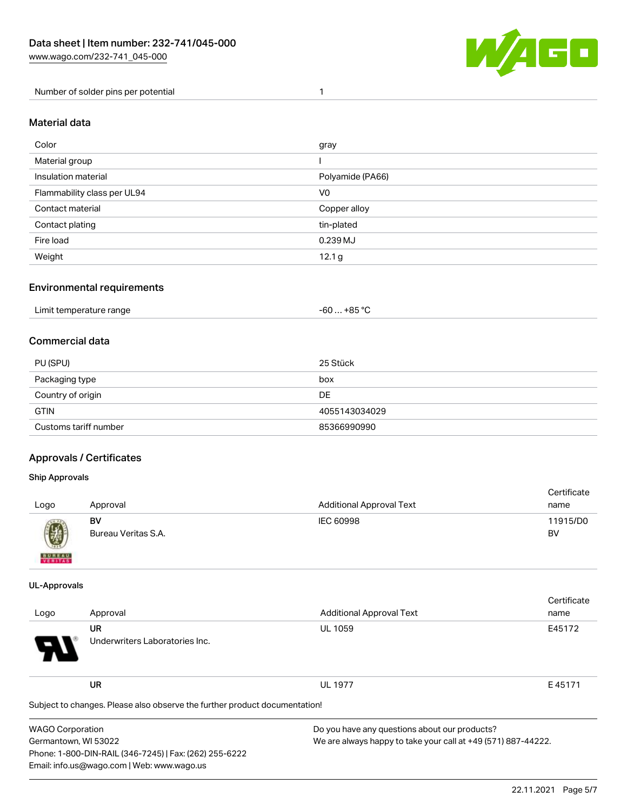

Number of solder pins per potential 1

#### Material data

| Color                       | gray              |
|-----------------------------|-------------------|
| Material group              |                   |
| Insulation material         | Polyamide (PA66)  |
| Flammability class per UL94 | V0                |
| Contact material            | Copper alloy      |
| Contact plating             | tin-plated        |
| Fire load                   | 0.239 MJ          |
| Weight                      | 12.1 <sub>g</sub> |

### Environmental requirements

| Limit temperature range<br>. | …+85 °ົ<br>-60 |  |
|------------------------------|----------------|--|
|------------------------------|----------------|--|

### Commercial data

| PU (SPU)              | 25 Stück      |
|-----------------------|---------------|
| Packaging type        | box           |
| Country of origin     | DE            |
| <b>GTIN</b>           | 4055143034029 |
| Customs tariff number | 85366990990   |

### Approvals / Certificates

#### Ship Approvals

| Logo                                                                                                                                                                                                                                                                                                                                                                                                                                                                                | Approval                  | <b>Additional Approval Text</b> | Certificate<br>name |
|-------------------------------------------------------------------------------------------------------------------------------------------------------------------------------------------------------------------------------------------------------------------------------------------------------------------------------------------------------------------------------------------------------------------------------------------------------------------------------------|---------------------------|---------------------------------|---------------------|
| $\bigcirc\!\!\!\!\! \bigcirc\!\!\!\!\! \bigcirc\!\!\!\!\! \bigcirc\!\!\!\!\! \bigcirc\!\!\!\!\! \bigcirc\!\!\!\!\! \bigcirc\!\!\!\!\! \bigcirc\!\!\!\!\! \bigcirc\!\!\!\!\! \bigcirc\!\!\!\!\! \bigcirc\!\!\!\!\! \bigcirc\!\!\!\!\! \bigcirc\!\!\!\!\! \bigcirc\!\!\!\!\! \bigcirc\!\!\!\!\! \bigcirc\!\!\!\!\! \bigcirc\!\!\!\!\! \bigcirc\!\!\!\!\! \bigcirc\!\!\!\!\! \bigcirc\!\!\!\!\! \bigcirc\!\!\!\!\! \bigcirc\!\!\!\!\! \bigcirc\!\!\!\!\! \bigcirc\!\!\!\!\! \bigcirc\$ | BV<br>Bureau Veritas S.A. | IEC 60998                       | 11915/D0<br>BV      |
| <b>BUNEAU</b>                                                                                                                                                                                                                                                                                                                                                                                                                                                                       |                           |                                 |                     |

#### UL-Approvals

| Logo                                                                       | Approval                             | <b>Additional Approval Text</b>               | Certificate<br>name |
|----------------------------------------------------------------------------|--------------------------------------|-----------------------------------------------|---------------------|
| $\boldsymbol{\theta}$                                                      | UR<br>Underwriters Laboratories Inc. | <b>UL 1059</b>                                | E45172              |
|                                                                            | <b>UR</b>                            | <b>UL 1977</b>                                | E45171              |
| Subject to changes. Please also observe the further product documentation! |                                      |                                               |                     |
| WAGO Corporation                                                           |                                      | Do you have any questions about our products? |                     |

Germantown, WI 53022 Phone: 1-800-DIN-RAIL (346-7245) | Fax: (262) 255-6222 Email: info.us@wago.com | Web: www.wago.us

We are always happy to take your call at +49 (571) 887-44222.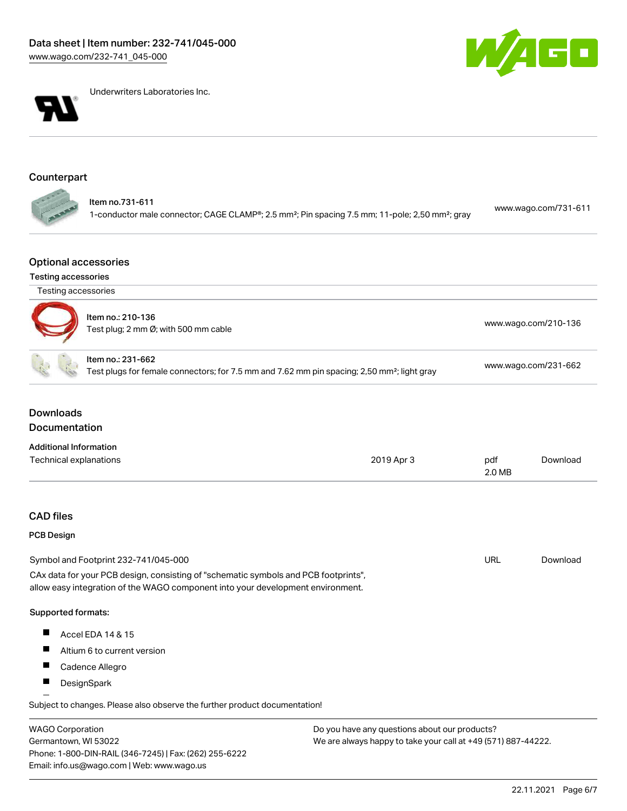



Underwriters Laboratories Inc.

# Counterpart

### Optional accessories

### Testing accessories

Germantown, WI 53022

Phone: 1-800-DIN-RAIL (346-7245) | Fax: (262) 255-6222

Email: info.us@wago.com | Web: www.wago.us

| Testing accessories                                       |                                                                                                                                                                        |                                                                                                         |               |                      |  |
|-----------------------------------------------------------|------------------------------------------------------------------------------------------------------------------------------------------------------------------------|---------------------------------------------------------------------------------------------------------|---------------|----------------------|--|
| Item no.: 210-136<br>Test plug; 2 mm Ø; with 500 mm cable |                                                                                                                                                                        | www.wago.com/210-136                                                                                    |               |                      |  |
|                                                           | Item no.: 231-662                                                                                                                                                      | Test plugs for female connectors; for 7.5 mm and 7.62 mm pin spacing; 2,50 mm <sup>2</sup> ; light gray |               | www.wago.com/231-662 |  |
| <b>Downloads</b><br><b>Documentation</b>                  |                                                                                                                                                                        |                                                                                                         |               |                      |  |
| <b>Additional Information</b>                             |                                                                                                                                                                        |                                                                                                         |               |                      |  |
| Technical explanations                                    |                                                                                                                                                                        | 2019 Apr 3                                                                                              | pdf<br>2.0 MB | Download             |  |
| <b>CAD</b> files                                          |                                                                                                                                                                        |                                                                                                         |               |                      |  |
| <b>PCB Design</b>                                         |                                                                                                                                                                        |                                                                                                         |               |                      |  |
|                                                           | Symbol and Footprint 232-741/045-000                                                                                                                                   |                                                                                                         | <b>URL</b>    | Download             |  |
|                                                           | CAx data for your PCB design, consisting of "schematic symbols and PCB footprints",<br>allow easy integration of the WAGO component into your development environment. |                                                                                                         |               |                      |  |
| Supported formats:                                        |                                                                                                                                                                        |                                                                                                         |               |                      |  |
| H                                                         | Accel EDA 14 & 15                                                                                                                                                      |                                                                                                         |               |                      |  |
| ш                                                         | Altium 6 to current version                                                                                                                                            |                                                                                                         |               |                      |  |
|                                                           | Cadence Allegro                                                                                                                                                        |                                                                                                         |               |                      |  |
| П                                                         | DesignSpark                                                                                                                                                            |                                                                                                         |               |                      |  |
|                                                           | Subject to changes. Please also observe the further product documentation!                                                                                             |                                                                                                         |               |                      |  |
| <b>WAGO Corporation</b>                                   |                                                                                                                                                                        | Do you have any questions about our products?                                                           |               |                      |  |

We are always happy to take your call at +49 (571) 887-44222.